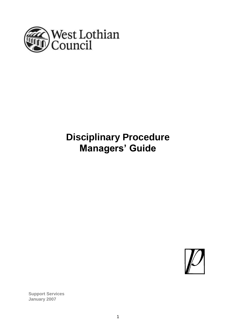

# **Disciplinary Procedure Managers' Guide**



**Support Services January 2007**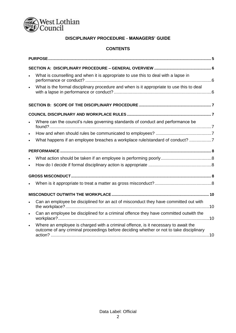

## **DISCIPLINARY PROCEDURE - MANAGERS' GUIDE**

#### **CONTENTS**

| $\bullet$ | What is counselling and when it is appropriate to use this to deal with a lapse in                                                                                            |  |
|-----------|-------------------------------------------------------------------------------------------------------------------------------------------------------------------------------|--|
| $\bullet$ | What is the formal disciplinary procedure and when is it appropriate to use this to deal                                                                                      |  |
|           |                                                                                                                                                                               |  |
|           |                                                                                                                                                                               |  |
| $\bullet$ | Where can the council's rules governing standards of conduct and performance be                                                                                               |  |
| $\bullet$ |                                                                                                                                                                               |  |
| $\bullet$ | What happens if an employee breaches a workplace rule/standard of conduct? 7                                                                                                  |  |
|           |                                                                                                                                                                               |  |
|           |                                                                                                                                                                               |  |
| $\bullet$ |                                                                                                                                                                               |  |
|           |                                                                                                                                                                               |  |
|           |                                                                                                                                                                               |  |
|           |                                                                                                                                                                               |  |
| $\bullet$ | Can an employee be disciplined for an act of misconduct they have committed out with                                                                                          |  |
| $\bullet$ | Can an employee be disciplined for a criminal offence they have committed outwith the                                                                                         |  |
| $\bullet$ | Where an employee is charged with a criminal offence, is it necessary to await the<br>outcome of any criminal proceedings before deciding whether or not to take disciplinary |  |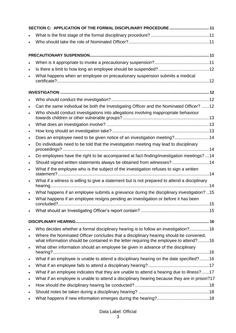| $\bullet$ |                                                                                                                                                                                 |  |
|-----------|---------------------------------------------------------------------------------------------------------------------------------------------------------------------------------|--|
|           | What happens when an employee on precautionary suspension submits a medical                                                                                                     |  |
|           |                                                                                                                                                                                 |  |
|           |                                                                                                                                                                                 |  |
|           |                                                                                                                                                                                 |  |
|           | Can the same individual be both the Investigating Officer and the Nominated Officer? 12                                                                                         |  |
|           | Who should conduct investigations into allegations involving inappropriate behaviour                                                                                            |  |
| $\bullet$ |                                                                                                                                                                                 |  |
| $\bullet$ |                                                                                                                                                                                 |  |
| $\bullet$ | Does an employee need to be given notice of an investigation meeting?14                                                                                                         |  |
|           | Do individuals need to be told that the investigation meeting may lead to disciplinary                                                                                          |  |
| $\bullet$ | Do employees have the right to be accompanied at fact-finding/investigation meetings? 14                                                                                        |  |
|           | Should signed written statements always be obtained from witnesses?14                                                                                                           |  |
|           | What if the employee who is the subject of the investigation refuses to sign a written                                                                                          |  |
| $\bullet$ | What if a witness is willing to give a statement but is not prepared to attend a disciplinary                                                                                   |  |
|           | What happens if an employee submits a grievance during the disciplinary investigation? 15                                                                                       |  |
|           | What happens if an employee resigns pending an investigation or before it has been                                                                                              |  |
|           |                                                                                                                                                                                 |  |
|           |                                                                                                                                                                                 |  |
|           |                                                                                                                                                                                 |  |
|           | Who decides whether a formal disciplinary hearing is to follow an investigation?16                                                                                              |  |
| $\bullet$ | Where the Nominated Officer concludes that a disciplinary hearing should be convened,<br>what information should be contained in the letter requiring the employee to attend?16 |  |
| $\bullet$ | What other information should an employee be given in advance of the disciplinary                                                                                               |  |
| $\bullet$ | What if an employee is unable to attend a disciplinary hearing on the date specified?16                                                                                         |  |
| $\bullet$ |                                                                                                                                                                                 |  |
| $\bullet$ | What if an employee indicates that they are unable to attend a hearing due to illness?17                                                                                        |  |
| $\bullet$ | What if an employee is unable to attend a disciplinary hearing because they are in prison?17                                                                                    |  |
| $\bullet$ |                                                                                                                                                                                 |  |
| $\bullet$ |                                                                                                                                                                                 |  |
|           |                                                                                                                                                                                 |  |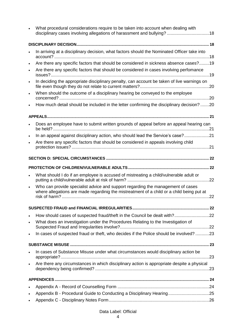|           | What procedural considerations require to be taken into account when dealing with<br>disciplinary cases involving allegations of harassment and bullying? 18                 |  |
|-----------|------------------------------------------------------------------------------------------------------------------------------------------------------------------------------|--|
|           |                                                                                                                                                                              |  |
|           | In arriving at a disciplinary decision, what factors should the Nominated Officer take into                                                                                  |  |
| $\bullet$ | Are there any specific factors that should be considered in sickness absence cases?19                                                                                        |  |
| $\bullet$ | Are there any specific factors that should be considered in cases involving perfomance                                                                                       |  |
| $\bullet$ | In deciding the appropriate disciplinary penalty, can account be taken of live warnings on                                                                                   |  |
| $\bullet$ | When should the outcome of a disciplinary hearing be conveyed to the employee                                                                                                |  |
|           | How much detail should be included in the letter confirming the disciplinary decision? 20                                                                                    |  |
|           |                                                                                                                                                                              |  |
| $\bullet$ | Does an employee have to submit written grounds of appeal before an appeal hearing can                                                                                       |  |
| $\bullet$ | In an appeal against disciplinary action, who should lead the Service's case?21                                                                                              |  |
| $\bullet$ | Are there any specific factors that should be considered in appeals involving child                                                                                          |  |
|           |                                                                                                                                                                              |  |
|           |                                                                                                                                                                              |  |
|           |                                                                                                                                                                              |  |
| $\bullet$ | What should I do if an employee is accused of mistreating a child/vulnerable adult or                                                                                        |  |
| $\bullet$ | Who can provide specialist advice and support regarding the management of cases<br>where allegations are made regardinig the mistreatment of a child or a child being put at |  |
|           |                                                                                                                                                                              |  |
|           |                                                                                                                                                                              |  |
| $\bullet$ | How should cases of suspected fraud/theft in the Council be dealt with?22<br>What does an investigation under the Procedures Relating to the Investigation of                |  |
| $\bullet$ | In cases of suspected fraud or theft, who decides if the Police should be involved? 23                                                                                       |  |
|           |                                                                                                                                                                              |  |
|           | In cases of Substance Misuse under what circumstances would disciplinary action be                                                                                           |  |
| $\bullet$ | Are there any circumstances in which disciplinary action is appropriate despite a physical                                                                                   |  |
|           |                                                                                                                                                                              |  |
| $\bullet$ |                                                                                                                                                                              |  |
| $\bullet$ |                                                                                                                                                                              |  |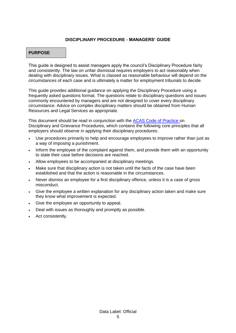#### **DISCIPLINARY PROCEDURE - MANAGERS' GUIDE**

#### **PURPOSE**

This guide is designed to assist managers apply the council's Disciplinary Procedure fairly and consistently. The law on unfair dismissal requires employers to act reasonably when dealing with disciplinary issues. What is classed as reasonable behaviour will depend on the circumstances of each case and is ultimately a matter for employment tribunals to decide.

This guide provides additional guidance on applying the Disciplinary Procedure using a frequently asked questions format. The questions relate to disciplinary questions and issues commonly encountered by managers and are not designed to cover every disciplinary circumstance. Advice on complex disciplinary matters should be obtained from Human Resources and Legal Services as appropriate.

This document should be read in conjunction with the [ACAS Code of Practice o](http://www.acas.org.uk/index.aspx?articleid=2174)n Disciplinary and Grievance Procedures, which contains the following core principles that all employers should observe in applying their disciplinary procedures:

- Use procedures primarily to help and encourage employees to improve rather than just as a way of imposing a punishment.
- Inform the employee of the complaint against them, and provide them with an opportunity to state their case before decisions are reached.
- Allow employees to be accompanied at disciplinary meetings.
- Make sure that disciplinary action is not taken until the facts of the case have been established and that the action is reasonable in the circumstances.
- Never dismiss an employee for a first disciplinary offence, unless it is a case of gross misconduct.
- Give the employee a written explanation for any disciplinary action taken and make sure they know what improvement is expected.
- Give the employee an opportunity to appeal.
- Deal with issues as thoroughly and promptly as possible.
- Act consistently.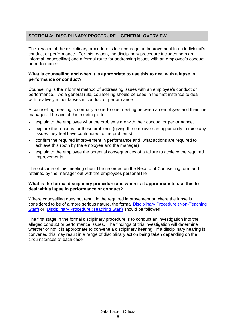#### **SECTION A: DISCIPLINARY PROCEDURE – GENERAL OVERVIEW**

The key aim of the disciplinary procedure is to encourage an improvement in an individual's conduct or performance. For this reason, the disciplinary procedure includes both an informal (counselling) and a formal route for addressing issues with an employee's conduct or performance.

#### **What is counselling and when it is appropriate to use this to deal with a lapse in performance or conduct?**

Counselling is the informal method of addressing issues with an employee's conduct or performance. As a general rule, counselling should be used in the first instance to deal with relatively minor lapses in conduct or performance

A counselling meeting is normally a one-to-one meeting between an employee and their line manager. The aim of this meeting is to:

- explain to the employee what the problems are with their conduct or performance,
- explore the reasons for these problems (giving the employee an opportunity to raise any issues they feel have contributed to the problems)
- confirm the required improvement in performance and, what actions are required to achieve this (both by the employee and the manager)
- explain to the employee the potential consequences of a failure to achieve the required improvements

The outcome of this meeting should be recorded on the Record of Counselling form and retained by the manager out with the employees personal file

#### **What is the formal disciplinary procedure and when is it appropriate to use this to deal with a lapse in performance or conduct?**

Where counselling does not result in the required improvement or where the lapse is considered to be of a more serious nature, the formal [Disciplinary Procedure \(Non-Teaching](https://www.westlothian.gov.uk/media/28445/Disciplinary-Procedure-Non-Teaching/pdf/DisciplinaryProcedure(Non-Teaching).pdf)  [Staff\)](https://www.westlothian.gov.uk/media/28445/Disciplinary-Procedure-Non-Teaching/pdf/DisciplinaryProcedure(Non-Teaching).pdf) or [Disciplinary Procedure \(Teaching Staff\)](https://www.westlothian.gov.uk/media/28446/Disciplinary-Procedure-Teachers/pdf/Disciplinary-procedure-teachers.pdf) should be followed.

The first stage in the formal disciplinary procedure is to conduct an investigation into the alleged conduct or performance issues. The findings of this investigation will determine whether or not it is appropriate to convene a disciplinary hearing. If a disciplinary hearing is convened this may result in a range of disciplinary action being taken depending on the circumstances of each case.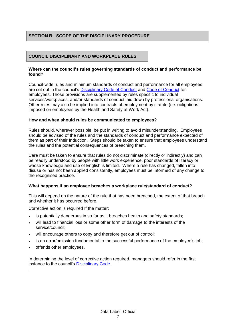#### **SECTION B: SCOPE OF THE DISCIPLINARY PROCEDURE**

#### **COUNCIL DISCIPLINARY AND WORKPLACE RULES**

#### **Where can the council's rules governing standards of conduct and performance be found?**

Council-wide rules and minimum standards of conduct and performance for all employees are set out in the council's [Disciplinary Code of Conduct](https://www.westlothian.gov.uk/media/1554/Disciplinary-Code/pdf/DisciplinaryCode-18May2016.pdf) and [Code of Conduct](https://www.westlothian.gov.uk/media/1553/Code-of-Conduct/doc/CodeOfConductForEmployees.docx) for employees. Those provisions are supplemented by rules specific to individual services/workplaces, and/or standards of conduct laid down by professional organisations. Other rules may also be implied into contracts of employment by statute (i.e. obligations imposed on employees by the Health and Safety at Work Act).

#### **How and when should rules be communicated to employees?**

Rules should, wherever possible, be put in writing to avoid misunderstanding. Employees should be advised of the rules and the standards of conduct and performance expected of them as part of their Induction. Steps should be taken to ensure that employees understand the rules and the potential consequences of breaching them.

Care must be taken to ensure that rules do not discriminate (directly or indirectly) and can be readily understood by people with little work experience, poor standards of literacy or whose knowledge and use of English is limited. Where a rule has changed, fallen into disuse or has not been applied consistently, employees must be informed of any change to the recognised practice.

#### **What happens if an employee breaches a workplace rule/standard of conduct?**

This will depend on the nature of the rule that has been breached, the extent of that breach and whether it has occurred before.

Corrective action is required If the matter:

- is potentially dangerous in so far as it breaches health and safety standards;
- will lead to financial loss or some other form of damage to the interests of the service/council;
- will encourage others to copy and therefore get out of control;
- is an error/omission fundamental to the successful performance of the employee's job;
- offends other employees.

.

In determining the level of corrective action required, managers should refer in the first instance to the council's [Disciplinary Code.](https://www.westlothian.gov.uk/media/1554/Disciplinary-Code/pdf/DisciplinaryCode-18May2016.pdf)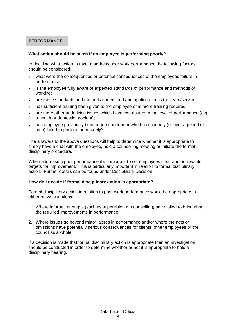#### **PERFORMANCE**

#### **What action should be taken if an employee is performing poorly?**

In deciding what action to take to address poor work performance the following factors should be considered:

- what were the consequences or potential consequences of the employees failure in performance;
- is the employee fully aware of expected standards of performance and methods of working;
- are these standards and methods understood and applied across the team/service;
- has sufficient training been given to the employee or is more training required;
- are there other underlying issues which have contributed to the level of performance (e.g. a health or domestic problem);
- has employee previously been a good performer who has suddenly (or over a period of time) failed to perform adequately?

The answers to the above questions will help to determine whether it is appropriate to simply have a chat with the employee, hold a counselling meeting or initiate the formal disciplinary procedure.

When addressing poor performance it is important to set employees clear and achievable targets for improvement. This is particularly important in relation to formal disciplinary action. Further details can be found under Disciplinary Decision.

#### **How do I decide if formal disciplinary action is appropriate?**

Formal disciplinary action in relation to poor work performance would be appropriate in either of two situations:

- 1. Where informal attempts (such as supervision or counselling) have failed to bring about the required improvements in performance
- 2. Where issues go beyond minor lapses in performance and/or where the acts or omissions have potentially serious consequences for clients, other employees or the council as a whole.

If a decision is made that formal disciplinary action is appropriate then an investigation should be conducted in order to determine whether or not it is appropriate to hold a disciplinary hearing.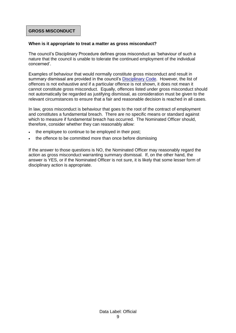#### **GROSS MISCONDUCT**

#### **When is it appropriate to treat a matter as gross misconduct?**

The council's Disciplinary Procedure defines gross misconduct as 'behaviour of such a nature that the council is unable to tolerate the continued employment of the individual concerned'.

Examples of behaviour that would normally constitute gross misconduct and result in summary dismissal are provided in the council's **Disciplinary Code**. However, the list of offences is not exhaustive and if a particular offence is not shown, it does not mean it cannot constitute gross misconduct. Equally, offences listed under gross misconduct should not automatically be regarded as justifying dismissal, as consideration must be given to the relevant circumstances to ensure that a fair and reasonable decision is reached in all cases.

In law, gross misconduct is behaviour that goes to the root of the contract of employment and constitutes a fundamental breach. There are no specific means or standard against which to measure if fundamental breach has occurred. The Nominated Officer should, therefore, consider whether they can reasonably allow:

- the employee to continue to be employed in their post;
- the offence to be committed more than once before dismissing

If the answer to those questions is NO, the Nominated Officer may reasonably regard the action as gross misconduct warranting summary dismissal. If, on the other hand, the answer is YES, or if the Nominated Officer is not sure, it is likely that some lesser form of disciplinary action is appropriate.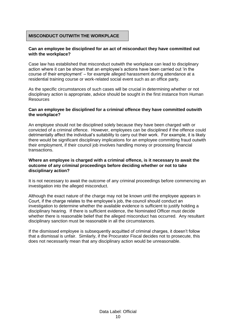#### **MISCONDUCT OUTWITH THE WORKPLACE**

#### **Can an employee be disciplined for an act of misconduct they have committed out with the workplace?**

Case law has established that misconduct outwith the workplace can lead to disciplinary action where it can be shown that an employee's actions have been carried out 'in the course of their employment' – for example alleged harassment during attendance at a residential training course or work-related social event such as an office party.

As the specific circumstances of such cases will be crucial in determining whether or not disciplinary action is appropriate, advice should be sought in the first instance from Human Resources

#### **Can an employee be disciplined for a criminal offence they have committed outwith the workplace?**

An employee should not be disciplined solely because they have been charged with or convicted of a criminal offence. However, employees can be disciplined if the offence could detrimentally affect the individual's suitability to carry out their work. For example, it is likely there would be significant disciplinary implications for an employee committing fraud outwith their employment, if their council job involves handling money or processing financial transactions.

#### **Where an employee is charged with a criminal offence, is it necessary to await the outcome of any criminal proceedings before deciding whether or not to take disciplinary action?**

It is not necessary to await the outcome of any criminal proceedings before commencing an investigation into the alleged misconduct.

Although the exact nature of the charge may not be known until the employee appears in Court, if the charge relates to the employee's job, the council should conduct an investigation to determine whether the available evidence is sufficient to justify holding a disciplinary hearing. If there is sufficient evidence, the Nominated Officer must decide whether there is reasonable belief that the alleged misconduct has occurred. Any resultant disciplinary sanction must be reasonable in all the circumstances.

If the dismissed employee is subsequently acquitted of criminal charges, it doesn't follow that a dismissal is unfair. Similarly, if the Procurator Fiscal decides not to prosecute, this does not necessarily mean that any disciplinary action would be unreasonable.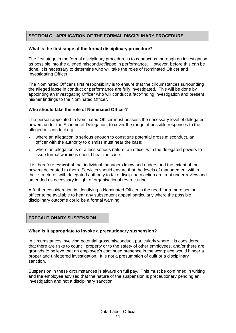### **SECTION C: APPLICATION OF THE FORMAL DISCIPLINARY PROCEDURE**

#### **What is the first stage of the formal disciplinary procedure?**

The first stage in the formal disciplinary procedure is to conduct as thorough an investigation as possible into the alleged misconduct/lapse in performance. However, before this can be done, it is necessary to determine who will take the roles of Nominated Officer and Investigating Officer

The Nominated Officer's first responsibility is to ensure that the circumstances surrounding the alleged lapse in conduct or performance are fully investigated. This will be done by appointing an Investigating Officer who will conduct a fact-finding investigation and present his/her findings to the Nominated Officer.

#### **Who should take the role of Nominated Officer?**

The person appointed to Nominated Officer must possess the necessary level of delegated powers under the Scheme of Delegation, to cover the range of possible responses to the alleged misconduct e.g.:

- where an allegation is serious enough to constitute potential gross misconduct, an officer with the authority to dismiss must hear the case;
- where an allegation is of a less serious nature, an officer with the delegated powers to issue formal warnings should hear the case.

It is therefore **essential** that individual managers know and understand the extent of the powers delegated to them. Services should ensure that the levels of management within their structures with delegated authority to take disciplinary action are kept under review and amended as necessary in light of organisational restructuring.

A further consideration in identifying a Nominated Officer is the need for a more senior officer to be available to hear any subsequent appeal particularly where the possible disciplinary outcome could be a formal warning.

#### **PRECAUTIONARY SUSPENSION**

#### **When is it appropriate to invoke a precautionary suspension?**

In circumstances involving potential gross misconduct, particularly where it is considered that there are risks to council property or to the safety of other employees, and/or there are grounds to believe that an employee's continued presence in the workplace would hinder a proper and unfettered investigation. It is not a presumption of guilt or a disciplinary sanction.

Suspension in these circumstances is always on full pay. This must be confirmed in writing and the employee advised that the nature of the suspension is precautionary pending an investigation and not a disciplinary sanction.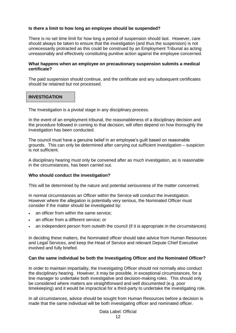#### **Is there a limit to how long an employee should be suspended?**

There is no set time limit for how long a period of suspension should last. However, care should always be taken to ensure that the investigation (and thus the suspension) is not unnecessarily protracted as this could be construed by an Employment Tribunal as acting unreasonably and effectively constituting punitive action against the employee concerned.

#### **What happens when an employee on precautionary suspension submits a medical certificate?**

The paid suspension should continue, and the certificate and any subsequent certificates should be retained but not processed.

#### **INVESTIGATION**

The Investigation is a pivotal stage in any disciplinary process.

In the event of an employment tribunal, the reasonableness of a disciplinary decision and the procedure followed in coming to that decision, will often depend on how thoroughly the investigation has been conducted.

The council must have a genuine belief in an employee's guilt based on reasonable grounds. This can only be determined after carrying out sufficient investigation – suspicion is not sufficient.

A disciplinary hearing must only be convened after as much investigation, as is reasonable in the circumstances, has been carried out.

#### **Who should conduct the investigation?**

This will be determined by the nature and potential seriousness of the matter concerned.

In normal circumstances an Officer within the Service will conduct the investigation. However where the allegation is potentially very serious, the Nominated Officer must consider if the matter should be investigated by:

- an officer from within the same service;
- an officer from a different service; or
- an independent person from outwith the council (if it is appropriate in the circumstances)

In deciding these matters, the Nominated officer should take advice from Human Resources and Legal Services, and keep the Head of Service and relevant Depute Chief Executive involved and fully briefed.

#### **Can the same individual be both the Investigating Officer and the Nominated Officer?**

In order to maintain impartiality, the Investigating Officer should not normally also conduct the disciplinary hearing. However, it may be possible, in exceptional circumstances, for a line manager to undertake both investigative and decision-making roles. This should only be considered where matters are straightforward and well documented (e.g. poor timekeeping) and it would be impractical for a third-party to undertake the investigating role.

In all circumstances, advice should be sought from Human Resources before a decision is made that the same individual will be both investigating officer and nominated officer.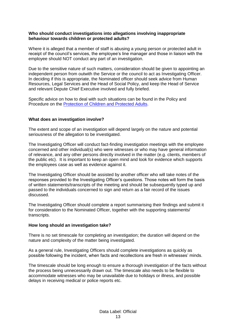#### **Who should conduct investigations into allegations involving inappropriate behaviour towards children or protected adults?**

Where it is alleged that a member of staff is abusing a young person or protected adult in receipt of the council's services, the employee's line manager and those in liaison with the employee should NOT conduct any part of an investigation.

Due to the sensitive nature of such matters, consideration should be given to appointing an independent person from outwith the Service or the council to act as Investigating Officer. In deciding if this is appropriate, the Nominated officer should seek advice from Human Resources, Legal Services and the Head of Social Policy, and keep the Head of Service and relevant Depute Chief Executive involved and fully briefed.

Specific advice on how to deal with such situations can be found in the Policy and Procedure on the [Protection of Children and Protected Adults.](https://www.westlothian.gov.uk/media/3093/Protection-of-Vulnerable-Groups---Children--Protected-Adults/doc/Policy_on_Protection_of_Children_and_Protected_Adults_October_2018.doc)

#### **What does an investigation involve?**

The extent and scope of an investigation will depend largely on the nature and potential seriousness of the allegation to be investigated.

The Investigating Officer will conduct fact-finding investigation meetings with the employee concerned and other individual(s) who were witnesses or who may have general information of relevance, and any other persons directly involved in the matter (e.g. clients, members of the public etc). It is important to keep an open mind and look for evidence which supports the employees case as well as evidence against it.

The Investigating Officer should be assisted by another officer who will take notes of the responses provided to the Investigating Officer's questions. Those notes will form the basis of written statements/transcripts of the meeting and should be subsequently typed up and passed to the individuals concerned to sign and return as a fair record of the issues discussed.

The Investigating Officer should complete a report summarising their findings and submit it for consideration to the Nominated Officer, together with the supporting statements/ transcripts.

#### **How long should an investigation take?**

There is no set timescale for completing an investigation; the duration will depend on the nature and complexity of the matter being investigated.

As a general rule, Investigating Officers should complete investigations as quickly as possible following the incident, when facts and recollections are fresh in witnesses' minds.

The timescale should be long enough to ensure a thorough investigation of the facts without the process being unnecessarily drawn out. The timescale also needs to be flexible to accommodate witnesses who may be unavailable due to holidays or illness, and possible delays in receiving medical or police reports etc.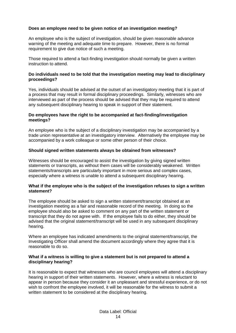#### **Does an employee need to be given notice of an investigation meeting?**

An employee who is the subject of investigation, should be given reasonable advance warning of the meeting and adequate time to prepare. However, there is no formal requirement to give due notice of such a meeting.

Those required to attend a fact-finding investigation should normally be given a written instruction to attend.

#### **Do individuals need to be told that the investigation meeting may lead to disciplinary proceedings?**

Yes, individuals should be advised at the outset of an investigatory meeting that it is part of a process that may result in formal disciplinary proceedings. Similarly, witnesses who are interviewed as part of the process should be advised that they may be required to attend any subsequent disciplinary hearing to speak in support of their statement.

#### **Do employees have the right to be accompanied at fact-finding/investigation meetings?**

An employee who is the subject of a disciplinary investigation may be accompanied by a trade union representative at an investigatory interview. Alternatively the employee may be accompanied by a work colleague or some other person of their choice.

#### **Should signed written statements always be obtained from witnesses?**

Witnesses should be encouraged to assist the investigation by giving signed written statements or transcripts, as without them cases will be considerably weakened. Written statements/transcripts are particularly important in more serious and complex cases, especially where a witness is unable to attend a subsequent disciplinary hearing.

#### **What if the employee who is the subject of the investigation refuses to sign a written statement?**

The employee should be asked to sign a written statement/transcript obtained at an investigation meeting as a fair and reasonable record of the meeting. In doing so the employee should also be asked to comment on any part of the written statement or transcript that they do not agree with. If the employee fails to do either, they should be advised that the original statement/transcript will be used in any subsequent disciplinary hearing.

Where an employee has indicated amendments to the original statement/transcript, the Investigating Officer shall amend the document accordingly where they agree that it is reasonable to do so.

#### **What if a witness is willing to give a statement but is not prepared to attend a disciplinary hearing?**

It is reasonable to expect that witnesses who are council employees will attend a disciplinary hearing in support of their written statements. However, where a witness is reluctant to appear in person because they consider it an unpleasant and stressful experience, or do not wish to confront the employee involved, it will be reasonable for the witness to submit a written statement to be considered at the disciplinary hearing.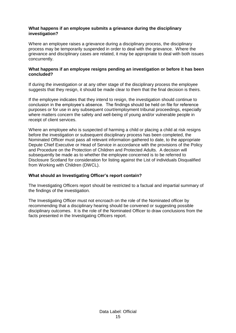#### **What happens if an employee submits a grievance during the disciplinary investigation?**

Where an employee raises a grievance during a disciplinary process, the disciplinary process may be temporarily suspended in order to deal with the grievance. Where the grievance and disciplinary cases are related, it may be appropriate to deal with both issues concurrently.

#### **What happens if an employee resigns pending an investigation or before it has been concluded?**

If during the investigation or at any other stage of the disciplinary process the employee suggests that they resign, it should be made clear to them that the final decision is theirs.

If the employee indicates that they intend to resign, the investigation should continue to conclusion in the employee's absence. The findings should be held on file for reference purposes or for use in any subsequent court/employment tribunal proceedings, especially where matters concern the safety and well-being of young and/or vulnerable people in receipt of client services.

Where an employee who is suspected of harming a child or placing a child at risk resigns before the investigation or subsequent disciplinary process has been completed, the Nominated Officer must pass all relevant information gathered to date, to the appropriate Depute Chief Executive or Head of Service in accordance with the provisions of the Policy and Procedure on the Protection of Children and Protected Adults. A decision will subsequently be made as to whether the employee concerned is to be referred to Disclosure Scotland for consideration for listing against the List of individuals Disqualified from Working with Children (DWCL).

#### **What should an Investigating Officer's report contain?**

The Investigating Officers report should be restricted to a factual and impartial summary of the findings of the investigation.

The Investigating Officer must not encroach on the role of the Nominated officer by recommending that a disciplinary hearing should be convened or suggesting possible disciplinary outcomes. It is the role of the Nominated Officer to draw conclusions from the facts presented in the Investigating Officers report.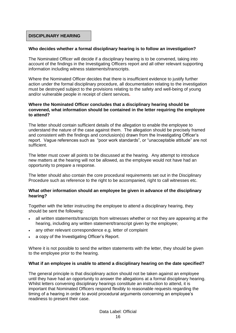#### **DISCIPLINARY HEARING**

#### **Who decides whether a formal disciplinary hearing is to follow an investigation?**

The Nominated Officer will decide if a disciplinary hearing is to be convened, taking into account of the findings in the Investigating Officers report and all other relevant supporting information including witness statements/transcripts.

Where the Nominated Officer decides that there is insufficient evidence to justify further action under the formal disciplinary procedure, all documentation relating to the investigation must be destroyed subject to the provisions relating to the safety and well-being of young and/or vulnerable people in receipt of client services**.**

#### **Where the Nominated Officer concludes that a disciplinary hearing should be convened, what information should be contained in the letter requiring the employee to attend?**

The letter should contain sufficient details of the allegation to enable the employee to understand the nature of the case against them. The allegation should be precisely framed and consistent with the findings and conclusion(s) drawn from the Investigating Officer's report. Vague references such as "poor work standards", or "unacceptable attitude" are not sufficient.

The letter must cover all points to be discussed at the hearing. Any attempt to introduce new matters at the hearing will not be allowed, as the employee would not have had an opportunity to prepare a response.

The letter should also contain the core procedural requirements set out in the Disciplinary Procedure such as reference to the right to be accompanied, right to call witnesses etc.

#### **What other information should an employee be given in advance of the disciplinary hearing?**

Together with the letter instructing the employee to attend a disciplinary hearing, they should be sent the following:

- all written statements/transcripts from witnesses whether or not they are appearing at the hearing, including any written statement/transcript given by the employee;
- any other relevant correspondence e.g. letter of complaint
- a copy of the Investigating Officer's Report.

Where it is not possible to send the written statements with the letter, they should be given to the employee prior to the hearing.

#### **What if an employee is unable to attend a disciplinary hearing on the date specified?**

The general principle is that disciplinary action should not be taken against an employee until they have had an opportunity to answer the allegations at a formal disciplinary hearing. Whilst letters convening disciplinary hearings constitute an instruction to attend, it is important that Nominated Officers respond flexibly to reasonable requests regarding the timing of a hearing in order to avoid procedural arguments concerning an employee's readiness to present their case.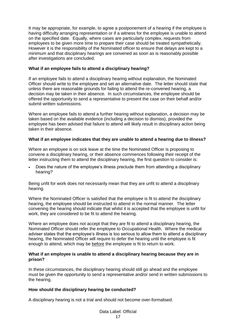It may be appropriate, for example, to agree a postponement of a hearing if the employee is having difficulty arranging representation or if a witness for the employee is unable to attend on the specified date. Equally, where cases are particularly complex, requests from employees to be given more time to prepare their case should be treated sympathetically. However it is the responsibility of the Nominated officer to ensure that delays are kept to a minimum and that disciplinary hearings are convened as soon as is reasonably possible after investigations are concluded.

#### **What if an employee fails to attend a disciplinary hearing?**

If an employee fails to attend a disciplinary hearing without explanation, the Nominated Officer should write to the employee and set an alternative date. The letter should state that unless there are reasonable grounds for failing to attend the re-convened hearing, a decision may be taken in their absence. In such circumstances, the employee should be offered the opportunity to send a representative to present the case on their behalf and/or submit written submissions.

Where an employee fails to attend a further hearing without explanation, a decision may be taken based on the available evidence (including a decision to dismiss), provided the employee has been advised that failure to attend will likely result in disciplinary action being taken in their absence.

#### **What if an employee indicates that they are unable to attend a hearing due to illness?**

Where an employee is on sick leave at the time the Nominated Officer is proposing to convene a disciplinary hearing, or their absence commences following their receipt of the letter instructing them to attend the disciplinary hearing, the first question to consider is:

 Does the nature of the employee's illness preclude them from attending a disciplinary hearing?

Being unfit for work does not necessarily mean that they are unfit to attend a disciplinary hearing.

Where the Nominated Officer is satisfied that the employee is fit to attend the disciplinary hearing, the employee should be instructed to attend in the normal manner. The letter convening the hearing should indicate that whilst it is accepted that the employee is unfit for work, they are considered to be fit to attend the hearing.

Where an employee does not accept that they are fit to attend a disciplinary hearing, the Nominated Officer should refer the employee to Occupational Health. Where the medical adviser states that the employee's illness is too serious to allow them to attend a disciplinary hearing, the Nominated Officer will require to defer the hearing until the employee is fit enough to attend, which may be before the employee is fit to return to work.

#### **What if an employee is unable to attend a disciplinary hearing because they are in prison?**

In these circumstances, the disciplinary hearing should still go ahead and the employee must be given the opportunity to send a representative and/or send in written submissions to the hearing.

#### **How should the disciplinary hearing be conducted?**

A disciplinary hearing is not a trial and should not become over-formalised.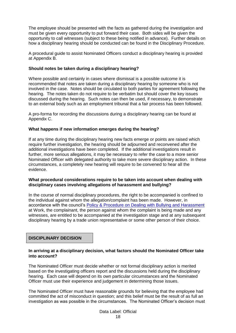The employee should be presented with the facts as gathered during the investigation and must be given every opportunity to put forward their case. Both sides will be given the opportunity to call witnesses (subject to these being notified in advance). Further details on how a disciplinary hearing should be conducted can be found in the Disciplinary Procedure.

A procedural guide to assist Nominated Officers conduct a disciplinary hearing is provided at Appendix B.

#### **Should notes be taken during a disciplinary hearing?**

Where possible and certainly in cases where dismissal is a possible outcome it is recommended that notes are taken during a disciplinary hearing by someone who is not involved in the case. Notes should be circulated to both parties for agreement following the hearing. The notes taken do not require to be verbatim but should cover the key issues discussed during the hearing. Such notes can then be used, if necessary, to demonstrate to an external body such as an employment tribunal that a fair process has been followed.

A pro-forma for recording the discussions during a disciplinary hearing can be found at Appendix C.

#### **What happens if new information emerges during the hearing?**

If at any time during the disciplinary hearing new facts emerge or points are raised which require further investigation, the hearing should be adjourned and reconvened after the additional investigations have been completed. If the additional investigations result in further, more serious allegations, it may be necessary to refer the case to a more senior Nominated Officer with delegated authority to take more severe disciplinary action. In these circumstances, a completely new hearing will require to be convened to hear all the evidence.

#### **What procedural considerations require to be taken into account when dealing with disciplinary cases involving allegations of harassment and bullying?**

In the course of normal disciplinary procedures, the right to be accompanied is confined to the individual against whom the allegation/complaint has been made. However, in accordance with the council's [Policy & Procedure on Dealing with Bullying and Harassment](https://www.westlothian.gov.uk/media/28048/Bullying-and-Harassment-Policy-Procedure/pdf/Bullying_and_Harassment_Policy__Procedure_-_3_August_2016_(3)_(1).pdf) at Work, the complainant, the person against whom the complaint is being made and any witnesses, are entitled to be accompanied at the investigation stage and at any subsequent disciplinary hearing by a trade union representative or some other person of their choice.

#### **DISCIPLINARY DECISION**

#### **In arriving at a disciplinary decision, what factors should the Nominated Officer take into account?**

The Nominated Officer must decide whether or not formal disciplinary action is merited based on the investigating officers report and the discussions held during the disciplinary hearing. Each case will depend on its own particular circumstances and the Nominated Officer must use their experience and judgement in determining those issues.

The Nominated Officer must have reasonable grounds for believing that the employee had committed the act of misconduct in question; and this belief must be the result of as full an investigation as was possible in the circumstances. The Nominated Officer's decision must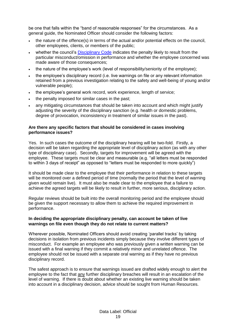be one that falls within the "band of reasonable responses" for the circumstances. As a general guide, the Nominated Officer should consider the following factors:

- the nature of the offence(s) in terms of the actual and/or potential effects on the council, other employees, clients, or members of the public;
- whether the council's [Disciplinary Code](https://www.westlothian.gov.uk/media/1554/Disciplinary-Code/pdf/DisciplinaryCode-18May2016.pdf) indicates the penalty likely to result from the particular misconduct/omission in performance and whether the employee concerned was made aware of those consequences:
- the nature of the employee's work (level of responsibility/seniority of the employee);
- the employee's disciplinary record (i.e. live warnings on file or any relevant information retained from a previous investigation relating to the safety and well-being of young and/or vulnerable people);
- the employee's general work record, work experience, length of service;
- the penalty imposed for similar cases in the past;
- any mitigating circumstances that should be taken into account and which might justify adjusting the severity of the disciplinary sanction (e.g. health or domestic problems, degree of provocation, inconsistency in treatment of similar issues in the past).

#### **Are there any specific factors that should be considered in cases involving performance issues?**

Yes. In such cases the outcome of the disciplinary hearing will be two-fold. Firstly, a decision will be taken regarding the appropriate level of disciplinary action (as with any other type of disciplinary case). Secondly, targets for improvement will be agreed with the employee. These targets must be clear and measurable (e.g. "all letters must be responded to within 3 days of receipt" as opposed to "letters must be responded to more quickly")

It should be made clear to the employee that their performance in relation to these targets will be monitored over a defined period of time (normally the period that the level of warning given would remain live). It must also be made clear to the employee that a failure to achieve the agreed targets will be likely to result in further, more serious, disciplinary action.

Regular reviews should be built into the overall monitoring period and the employee should be given the support necessary to allow them to achieve the required improvement in performance.

#### **In deciding the appropriate disciplinary penalty, can account be taken of live warnings on file even though they do not relate to current matters?**

Wherever possible, Nominated Officers should avoid creating 'parallel tracks' by taking decisions in isolation from previous incidents simply because they involve different types of misconduct. For example an employee who was previously given a written warning can be issued with a final warning if they commit a relatively minor and unrelated offence. The employee should not be issued with a separate oral warning as if they have no previous disciplinary record.

The safest approach is to ensure that warnings issued are drafted widely enough to alert the employee to the fact that any further disciplinary breaches will result in an escalation of the level of warning. If there is doubt about whether an existing live warning should be taken into account in a disciplinary decision, advice should be sought from Human Resources.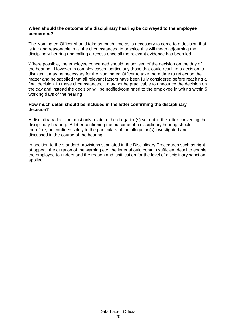#### **When should the outcome of a disciplinary hearing be conveyed to the employee concerned?**

The Nominated Officer should take as much time as is necessary to come to a decision that is fair and reasonable in all the circumstances. In practice this will mean adjourning the disciplinary hearing and calling a recess once all the relevant evidence has been led.

Where possible, the employee concerned should be advised of the decision on the day of the hearing. However in complex cases, particularly those that could result in a decision to dismiss, it may be necessary for the Nominated Officer to take more time to reflect on the matter and be satisfied that all relevant factors have been fully considered before reaching a final decision. In these circumstances, it may not be practicable to announce the decision on the day and instead the decision will be notified/confirmed to the employee in writing within 5 working days of the hearing.

#### **How much detail should be included in the letter confirming the disciplinary decision?**

A disciplinary decision must only relate to the allegation(s) set out in the letter convening the disciplinary hearing. A letter confirming the outcome of a disciplinary hearing should, therefore, be confined solely to the particulars of the allegation(s) investigated and discussed in the course of the hearing.

In addition to the standard provisions stipulated in the Disciplinary Procedures such as right of appeal, the duration of the warning etc, the letter should contain sufficient detail to enable the employee to understand the reason and justification for the level of disciplinary sanction applied.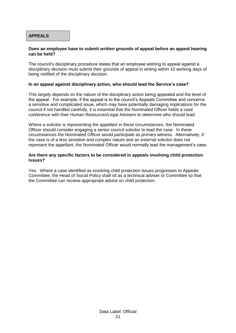#### **APPEALS**

#### **Does an employee have to submit written grounds of appeal before an appeal hearing can be held?**

The council's disciplinary procedure states that an employee wishing to appeal against a disciplinary decision must submit their grounds of appeal in writing within 10 working days of being notified of the disciplinary decision.

#### **In an appeal against disciplinary action, who should lead the Service's case?**

This largely depends on the nature of the disciplinary action being appealed and the level of the appeal. For example, if the appeal is to the council's Appeals Committee and concerns a sensitive and complicated issue, which may have potentially damaging implications for the council if not handled carefully, it is essential that the Nominated Officer holds a case conference with their Human Resources/Legal Advisers to determine who should lead.

Where a solicitor is representing the appellant in these circumstances, the Nominated Officer should consider engaging a senior council solicitor to lead the case. In these circumstances the Nominated Officer would participate as primary witness. Alternatively, if the case is of a less sensitive and complex nature and an external solicitor does not represent the appellant, the Nominated Officer would normally lead the management's case.

#### **Are there any specific factors to be considered in appeals involving child protection issues?**

Yes. Where a case identified as involving child protection issues progresses to Appeals Committee, the Head of Social Policy shall sit as a technical adviser to Committee so that the Committee can receive appropriate advice on child protection.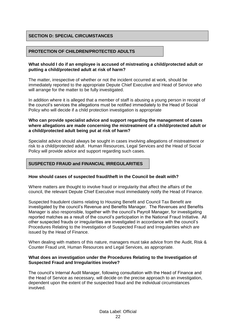#### **SECTION D: SPECIAL CIRCUMSTANCES**

#### **PROTECTION OF CHILDREN/PROTECTED ADULTS**

#### **What should I do if an employee is accused of mistreating a child/protected adult or putting a child/protected adult at risk of harm?**

The matter, irrespective of whether or not the incident occurred at work, should be immediately reported to the appropriate Depute Chief Executive and Head of Service who will arrange for the matter to be fully investigated.

In addition where it is alleged that a member of staff is abusing a young person in receipt of the council's services the allegations must be notified immediately to the Head of Social Policy who will decide if a child protection investigation is appropriate

#### **Who can provide specialist advice and support regarding the management of cases where allegations are made concerning the mistreatment of a child/protected adult or a child/protected adult being put at risk of harm?**

Specialist advice should always be sought in cases involving allegations of mistreatment or risk to a child/protected adult. Human Resources, Legal Services and the Head of Social Policy will provide advice and support regarding such cases.

#### **SUSPECTED FRAUD and FINANCIAL IRREGULARITIES**

#### **How should cases of suspected fraud/theft in the Council be dealt with?**

Where matters are thought to involve fraud or irregularity that affect the affairs of the council, the relevant Depute Chief Executive must immediately notify the Head of Finance.

Suspected fraudulent claims relating to Housing Benefit and Council Tax Benefit are investigated by the council's Revenue and Benefits Manager. The Revenues and Benefits Manager is also responsible, together with the council's Payroll Manager, for investigating reported matches as a result of the council's participation in the National Fraud Initiative. All other suspected frauds or irregularities are investigated in accordance with the council's Procedures Relating to the Investigation of Suspected Fraud and Irregularities which are issued by the Head of Finance.

When dealing with matters of this nature, managers must take advice from the Audit, Risk & Counter Fraud unit, Human Resources and Legal Services, as appropriate.

#### **What does an investigation under the Procedures Relating to the Investigation of Suspected Fraud and Irregularities involve?**

The council's Internal Audit Manager, following consultation with the Head of Finance and the Head of Service as necessary, will decide on the precise approach to an investigation, dependent upon the extent of the suspected fraud and the individual circumstances involved.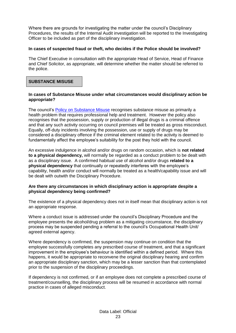Where there are grounds for investigating the matter under the council's Disciplinary Procedures, the results of the Internal Audit investigation will be reported to the Investigating Officer to be included as part of the disciplinary investigation.

#### **In cases of suspected fraud or theft, who decides if the Police should be involved?**

The Chief Executive in consultation with the appropriate Head of Service, Head of Finance and Chief Solicitor, as appropriate, will determine whether the matter should be referred to the police.

#### **SUBSTANCE MISUSE**

#### **In cases of Substance Misuse under what circumstances would disciplinary action be appropriate?**

The council's [Policy on Substance Misuse](https://www.westlothian.gov.uk/media/19656/Substance-Misuse-Policy/pdf/Substance_Misuse_Policy_2017.pdf) recognises substance misuse as primarily a health problem that requires professional help and treatment. However the policy also recognises that the possession, supply or production of illegal drugs is a criminal offence and that any such activity occurring on council premises will be treated as gross misconduct. Equally, off-duty incidents involving the possession, use or supply of drugs may be considered a disciplinary offence if the criminal element related to the activity is deemed to fundamentally affect the employee's suitability for the post they hold with the council.

An excessive indulgence in alcohol and/or drugs on random occasion, which is **not related to a physical dependency,** will normally be regarded as a conduct problem to be dealt with as a disciplinary issue. A confirmed habitual use of alcohol and/or drugs **related to a physical dependency** that continually or repeatedly interferes with the employee's capability, health and/or conduct will normally be treated as a health/capability issue and will be dealt with outwith the Disciplinary Procedure.

#### **Are there any circumstances in which disciplinary action is appropriate despite a physical dependency being confirmed?**

The existence of a physical dependency does not in itself mean that disciplinary action is not an appropriate response.

Where a conduct issue is addressed under the council's Disciplinary Procedure and the employee presents the alcohol/drug problem as a mitigating circumstance, the disciplinary process may be suspended pending a referral to the council's Occupational Health Unit/ agreed external agency.

Where dependency is confirmed, the suspension may continue on condition that the employee successfully completes any prescribed course of treatment, and that a significant improvement in the employee's behaviour is identified within a defined period. Where this happens, it would be appropriate to reconvene the original disciplinary hearing and confirm an appropriate disciplinary sanction, which may be a lesser sanction than that contemplated prior to the suspension of the disciplinary proceedings.

If dependency is not confirmed, or if an employee does not complete a prescribed course of treatment/counselling, the disciplinary process will be resumed in accordance with normal practice in cases of alleged misconduct.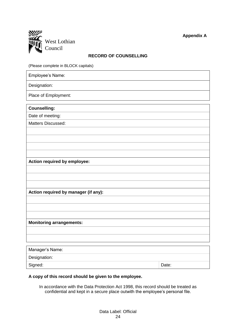

#### **RECORD OF COUNSELLING**

(Please complete in BLOCK capitals)

Employee's Name:

Designation:

Place of Employment:

**Counselling:**

Date of meeting: Matters Discussed:

**Action required by employee:**

**Action required by manager (if any):**

**Monitoring arrangements:**

| Manager's Name: |       |  |
|-----------------|-------|--|
| Designation:    |       |  |
| Signed:         | Date: |  |

#### **A copy of this record should be given to the employee.**

In accordance with the Data Protection Act 1998, this record should be treated as confidential and kept in a secure place outwith the employee's personal file.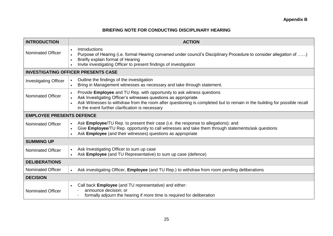#### **BRIEFING NOTE FOR CONDUCTING DISCIPLINARY HEARING**

| <b>INTRODUCTION</b>                        | <b>ACTION</b>                                                                                                                                                                                                                                                                                                                        |  |
|--------------------------------------------|--------------------------------------------------------------------------------------------------------------------------------------------------------------------------------------------------------------------------------------------------------------------------------------------------------------------------------------|--|
| Nominated Officer                          | Introductions<br>Purpose of Hearing (i.e. formal Hearing convened under council's Disciplinary Procedure to consider allegation of )<br>Briefly explain format of Hearing<br>$\bullet$<br>Invite investigating Officer to present findings of investigation                                                                          |  |
| <b>INVESTIGATING OFFICER PRESENTS CASE</b> |                                                                                                                                                                                                                                                                                                                                      |  |
| <b>Investigating Officer</b>               | Outline the findings of the investigation<br>$\bullet$<br>Bring in Management witnesses as necessary and take through statement.                                                                                                                                                                                                     |  |
| <b>Nominated Officer</b>                   | Provide Employee and TU Rep. with opportunity to ask witness questions<br>$\bullet$<br>Ask Investigating Officer's witnesses questions as appropriate<br>Ask Witnesses to withdraw from the room after questioning is completed but to remain in the building for possible recall<br>in the event further clarification is necessary |  |
| <b>EMPLOYEE PRESENTS DEFENCE</b>           |                                                                                                                                                                                                                                                                                                                                      |  |
| Nominated Officer                          | Ask <b>Employee</b> /TU Rep. to present their case (i.e. the response to allegations); and<br>Give Employee/TU Rep. opportunity to call witnesses and take them through statements/ask questions<br>Ask Employee (and their witnesses) questions as appropriate<br>$\bullet$                                                         |  |
| <b>SUMMING UP</b>                          |                                                                                                                                                                                                                                                                                                                                      |  |
| <b>Nominated Officer</b>                   | Ask Investigating Officer to sum up case<br>$\bullet$<br>Ask Employee (and TU Representative) to sum up case (defence)                                                                                                                                                                                                               |  |
| <b>DELIBERATIONS</b>                       |                                                                                                                                                                                                                                                                                                                                      |  |
| <b>Nominated Officer</b>                   | Ask investigating Officer, Employee (and TU Rep.) to withdraw from room pending deliberations<br>$\bullet$                                                                                                                                                                                                                           |  |
| <b>DECISION</b>                            |                                                                                                                                                                                                                                                                                                                                      |  |
| <b>Nominated Officer</b>                   | Call back Employee (and TU representative) and either:<br>announce decision; or<br>formally adjourn the hearing if more time is required for deliberation                                                                                                                                                                            |  |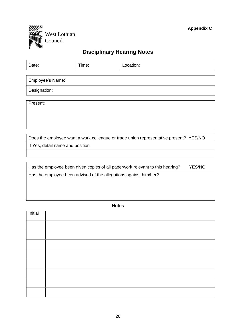

# **Disciplinary Hearing Notes**

| Date:                                                                                   | Time: | Location: |  |  |
|-----------------------------------------------------------------------------------------|-------|-----------|--|--|
|                                                                                         |       |           |  |  |
| Employee's Name:                                                                        |       |           |  |  |
| Designation:                                                                            |       |           |  |  |
|                                                                                         |       |           |  |  |
| Present:                                                                                |       |           |  |  |
|                                                                                         |       |           |  |  |
|                                                                                         |       |           |  |  |
|                                                                                         |       |           |  |  |
| Does the employee want a work colleague or trade union representative present? YES/NO   |       |           |  |  |
| If Yes, detail name and position                                                        |       |           |  |  |
|                                                                                         |       |           |  |  |
|                                                                                         |       |           |  |  |
| Has the employee been given copies of all paperwork relevant to this hearing?<br>YES/NO |       |           |  |  |
| Has the employee been advised of the allegations against him/her?                       |       |           |  |  |
|                                                                                         |       |           |  |  |
|                                                                                         |       |           |  |  |

**Notes**

| Initial |  |
|---------|--|
|         |  |
|         |  |
|         |  |
|         |  |
|         |  |
|         |  |
|         |  |
|         |  |
|         |  |
|         |  |
|         |  |
|         |  |
|         |  |
|         |  |